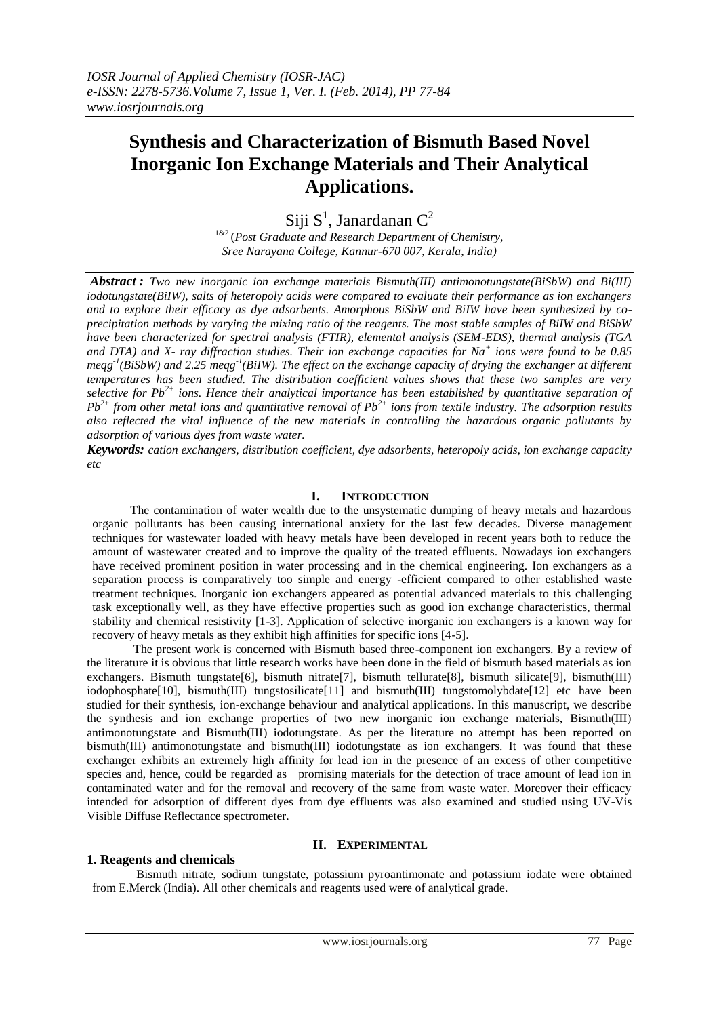# **Synthesis and Characterization of Bismuth Based Novel Inorganic Ion Exchange Materials and Their Analytical Applications.**

# Siji S<sup>1</sup>, Janardanan C<sup>2</sup>

1&2 (*Post Graduate and Research Department of Chemistry, Sree Narayana College, Kannur-670 007, Kerala, India)*

*Abstract : Two new inorganic ion exchange materials Bismuth(III) antimonotungstate(BiSbW) and Bi(III) iodotungstate(BiIW), salts of heteropoly acids were compared to evaluate their performance as ion exchangers and to explore their efficacy as dye adsorbents. Amorphous BiSbW and BiIW have been synthesized by coprecipitation methods by varying the mixing ratio of the reagents. The most stable samples of BiIW and BiSbW have been characterized for spectral analysis (FTIR), elemental analysis (SEM-EDS), thermal analysis (TGA and DTA) and X- ray diffraction studies. Their ion exchange capacities for Na<sup>+</sup> ions were found to be 0.85*  meqg<sup>-1</sup>(BiSbW) and 2.25 meqg<sup>-1</sup>(BiIW). The effect on the exchange capacity of drying the exchanger at different *temperatures has been studied. The distribution coefficient values shows that these two samples are very selective for Pb2+ ions. Hence their analytical importance has been established by quantitative separation of Pb*<sup>2+</sup> *from other metal ions and quantitative removal of*  $Pb^{2+}$  *<i>ions from textile industry. The adsorption results also reflected the vital influence of the new materials in controlling the hazardous organic pollutants by adsorption of various dyes from waste water.*

*Keywords: cation exchangers, distribution coefficient, dye adsorbents, heteropoly acids, ion exchange capacity etc*

## **I. INTRODUCTION**

The contamination of water wealth due to the unsystematic dumping of heavy metals and hazardous organic pollutants has been causing international anxiety for the last few decades. Diverse management techniques for wastewater loaded with heavy metals have been developed in recent years both to reduce the amount of wastewater created and to improve the quality of the treated effluents. Nowadays ion exchangers have received prominent position in water processing and in the chemical engineering. Ion exchangers as a separation process is comparatively too simple and energy -efficient compared to other established waste treatment techniques. Inorganic ion exchangers appeared as potential advanced materials to this challenging task exceptionally well, as they have effective properties such as good ion exchange characteristics, thermal stability and chemical resistivity [1-3]. Application of selective inorganic ion exchangers is a known way for recovery of heavy metals as they exhibit high affinities for specific ions [4-5].

The present work is concerned with Bismuth based three-component ion exchangers. By a review of the literature it is obvious that little research works have been done in the field of bismuth based materials as ion exchangers. Bismuth tungstate[6], bismuth nitrate[7], bismuth tellurate[8], bismuth silicate[9], bismuth(III) iodophosphate[10], bismuth(III) tungstosilicate[11] and bismuth(III) tungstomolybdate[12] etc have been studied for their synthesis, ion-exchange behaviour and analytical applications. In this manuscript, we describe the synthesis and ion exchange properties of two new inorganic ion exchange materials, Bismuth(III) antimonotungstate and Bismuth(III) iodotungstate. As per the literature no attempt has been reported on bismuth(III) antimonotungstate and bismuth(III) iodotungstate as ion exchangers. It was found that these exchanger exhibits an extremely high affinity for lead ion in the presence of an excess of other competitive species and, hence, could be regarded as promising materials for the detection of trace amount of lead ion in contaminated water and for the removal and recovery of the same from waste water. Moreover their efficacy intended for adsorption of different dyes from dye effluents was also examined and studied using UV-Vis Visible Diffuse Reflectance spectrometer.

## **II. EXPERIMENTAL**

## **1. Reagents and chemicals**

 Bismuth nitrate, sodium tungstate, potassium pyroantimonate and potassium iodate were obtained from E.Merck (India). All other chemicals and reagents used were of analytical grade.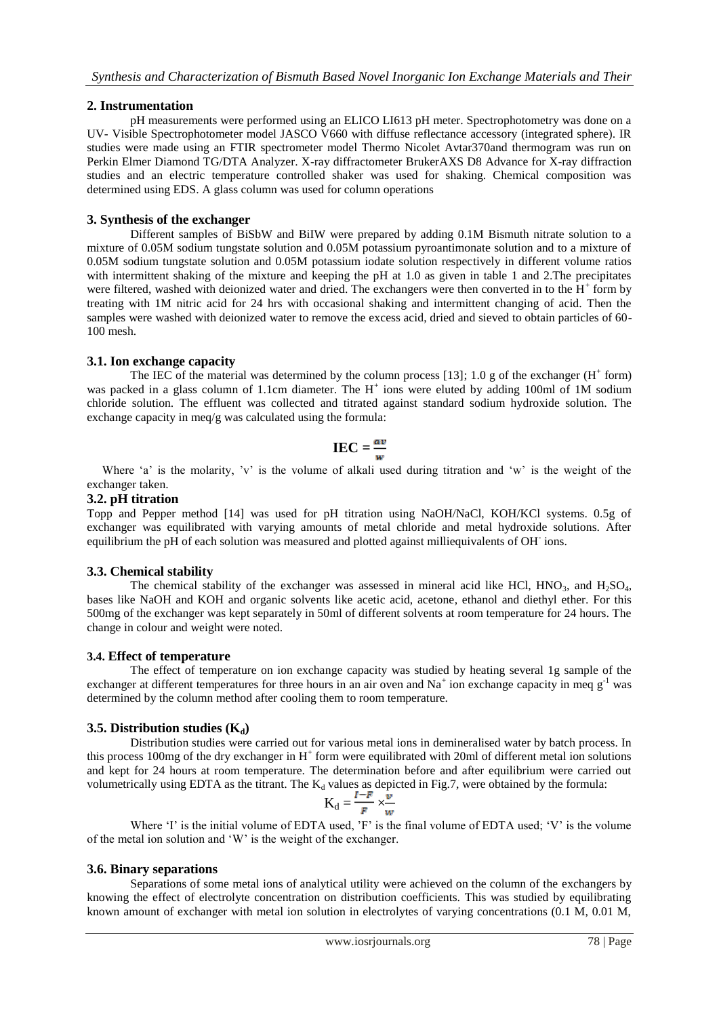## **2. Instrumentation**

pH measurements were performed using an ELICO LI613 pH meter. Spectrophotometry was done on a UV- Visible Spectrophotometer model JASCO V660 with diffuse reflectance accessory (integrated sphere). IR studies were made using an FTIR spectrometer model Thermo Nicolet Avtar370and thermogram was run on Perkin Elmer Diamond TG/DTA Analyzer. X-ray diffractometer BrukerAXS D8 Advance for X-ray diffraction studies and an electric temperature controlled shaker was used for shaking. Chemical composition was determined using EDS. A glass column was used for column operations

## **3. Synthesis of the exchanger**

Different samples of BiSbW and BiIW were prepared by adding 0.1M Bismuth nitrate solution to a mixture of 0.05M sodium tungstate solution and 0.05M potassium pyroantimonate solution and to a mixture of 0.05M sodium tungstate solution and 0.05M potassium iodate solution respectively in different volume ratios with intermittent shaking of the mixture and keeping the pH at 1.0 as given in table 1 and 2.The precipitates were filtered, washed with deionized water and dried. The exchangers were then converted in to the  $H^+$  form by treating with 1M nitric acid for 24 hrs with occasional shaking and intermittent changing of acid. Then the samples were washed with deionized water to remove the excess acid, dried and sieved to obtain particles of 60- 100 mesh.

## **3.1. Ion exchange capacity**

The IEC of the material was determined by the column process [13]; 1.0 g of the exchanger  $(H^+$  form) was packed in a glass column of 1.1cm diameter. The H<sup>+</sup> ions were eluted by adding 100ml of 1M sodium chloride solution. The effluent was collected and titrated against standard sodium hydroxide solution. The exchange capacity in meq/g was calculated using the formula:

$$
\text{IEC} = \frac{av}{w}
$$

Where 'a' is the molarity, 'v' is the volume of alkali used during titration and 'w' is the weight of the exchanger taken.

## **3.2. pH titration**

Topp and Pepper method [14] was used for pH titration using NaOH/NaCl, KOH/KCl systems. 0.5g of exchanger was equilibrated with varying amounts of metal chloride and metal hydroxide solutions. After equilibrium the pH of each solution was measured and plotted against milliequivalents of OH ions.

## **3.3. Chemical stability**

The chemical stability of the exchanger was assessed in mineral acid like HCl,  $HNO<sub>3</sub>$ , and  $H<sub>2</sub>SO<sub>4</sub>$ , bases like NaOH and KOH and organic solvents like acetic acid, acetone, ethanol and diethyl ether. For this 500mg of the exchanger was kept separately in 50ml of different solvents at room temperature for 24 hours. The change in colour and weight were noted.

## **3.4. Effect of temperature**

The effect of temperature on ion exchange capacity was studied by heating several 1g sample of the exchanger at different temperatures for three hours in an air oven and  $Na^+$  ion exchange capacity in meq  $g^{-1}$  was determined by the column method after cooling them to room temperature.

## **3.5. Distribution studies**  $(K_d)$

Distribution studies were carried out for various metal ions in demineralised water by batch process. In this process 100mg of the dry exchanger in  $H^+$  form were equilibrated with 20ml of different metal ion solutions and kept for 24 hours at room temperature. The determination before and after equilibrium were carried out volumetrically using EDTA as the titrant. The  $K_d$  values as depicted in Fig.7, were obtained by the formula:

$$
K_d = \frac{I-F}{F} \times \frac{v}{w}
$$

Where 'I' is the initial volume of EDTA used, 'F' is the final volume of EDTA used; 'V' is the volume of the metal ion solution and 'W' is the weight of the exchanger.

## **3.6. Binary separations**

Separations of some metal ions of analytical utility were achieved on the column of the exchangers by knowing the effect of electrolyte concentration on distribution coefficients. This was studied by equilibrating known amount of exchanger with metal ion solution in electrolytes of varying concentrations (0.1 M, 0.01 M,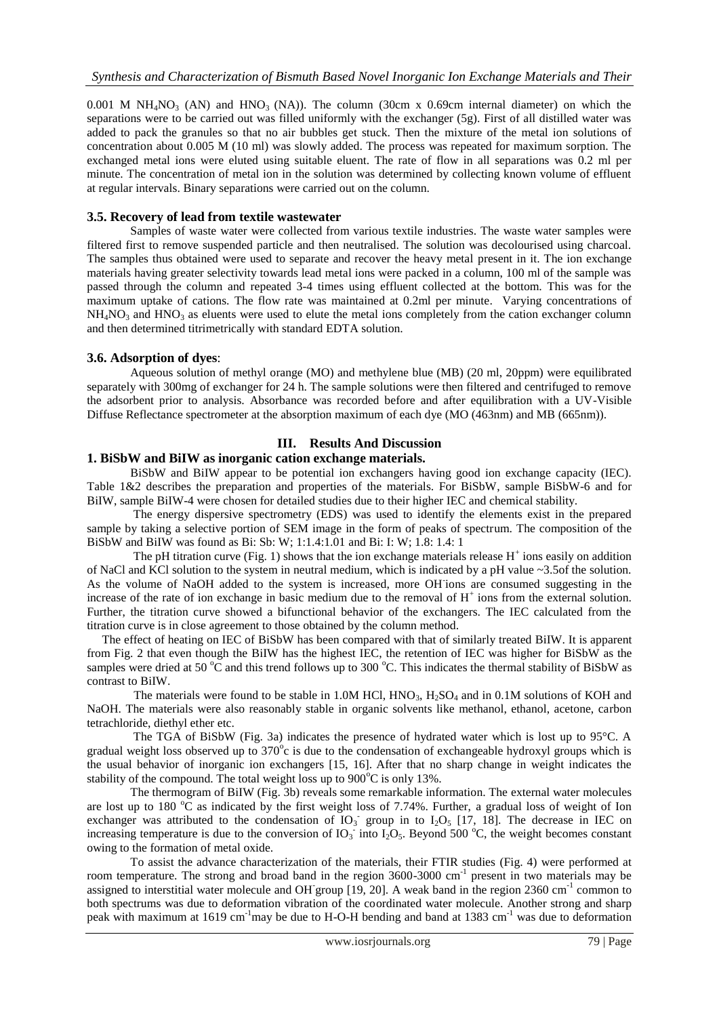0.001 M  $NH_4NO_3$  (AN) and  $HNO_3$  (NA)). The column (30cm x 0.69cm internal diameter) on which the separations were to be carried out was filled uniformly with the exchanger (5g). First of all distilled water was added to pack the granules so that no air bubbles get stuck. Then the mixture of the metal ion solutions of concentration about 0.005 M (10 ml) was slowly added. The process was repeated for maximum sorption. The exchanged metal ions were eluted using suitable eluent. The rate of flow in all separations was 0.2 ml per minute. The concentration of metal ion in the solution was determined by collecting known volume of effluent at regular intervals. Binary separations were carried out on the column.

#### **3.5. Recovery of lead from textile wastewater**

Samples of waste water were collected from various textile industries. The waste water samples were filtered first to remove suspended particle and then neutralised. The solution was decolourised using charcoal. The samples thus obtained were used to separate and recover the heavy metal present in it. The ion exchange materials having greater selectivity towards lead metal ions were packed in a column, 100 ml of the sample was passed through the column and repeated 3-4 times using effluent collected at the bottom. This was for the maximum uptake of cations. The flow rate was maintained at 0.2ml per minute. Varying concentrations of  $NH<sub>4</sub>NO<sub>3</sub>$  and  $HNO<sub>3</sub>$  as eluents were used to elute the metal ions completely from the cation exchanger column and then determined titrimetrically with standard EDTA solution.

#### **3.6. Adsorption of dyes**:

Aqueous solution of methyl orange (MO) and methylene blue (MB) (20 ml, 20ppm) were equilibrated separately with 300mg of exchanger for 24 h. The sample solutions were then filtered and centrifuged to remove the adsorbent prior to analysis. Absorbance was recorded before and after equilibration with a UV-Visible Diffuse Reflectance spectrometer at the absorption maximum of each dye (MO (463nm) and MB (665nm)).

## **III. Results And Discussion**

#### **1. BiSbW and BiIW as inorganic cation exchange materials.**

BiSbW and BiIW appear to be potential ion exchangers having good ion exchange capacity (IEC). Table 1&2 describes the preparation and properties of the materials. For BiSbW, sample BiSbW-6 and for BiIW, sample BiIW-4 were chosen for detailed studies due to their higher IEC and chemical stability.

 The energy dispersive spectrometry (EDS) was used to identify the elements exist in the prepared sample by taking a selective portion of SEM image in the form of peaks of spectrum. The composition of the BiSbW and BiIW was found as Bi: Sb: W; 1:1.4:1.01 and Bi: I: W; 1.8: 1.4: 1

The pH titration curve (Fig. 1) shows that the ion exchange materials release  $H^+$  ions easily on addition of NaCl and KCl solution to the system in neutral medium, which is indicated by a pH value ~3.5of the solution. As the volume of NaOH added to the system is increased, more OH-ions are consumed suggesting in the increase of the rate of ion exchange in basic medium due to the removal of  $H^+$  ions from the external solution. Further, the titration curve showed a bifunctional behavior of the exchangers. The IEC calculated from the titration curve is in close agreement to those obtained by the column method.

 The effect of heating on IEC of BiSbW has been compared with that of similarly treated BiIW. It is apparent from Fig. 2 that even though the BiIW has the highest IEC, the retention of IEC was higher for BiSbW as the samples were dried at 50  $\degree$ C and this trend follows up to 300  $\degree$ C. This indicates the thermal stability of BiSbW as contrast to BiIW.

The materials were found to be stable in 1.0M HCl,  $HNO<sub>3</sub>, H<sub>2</sub>SO<sub>4</sub>$  and in 0.1M solutions of KOH and NaOH. The materials were also reasonably stable in organic solvents like methanol, ethanol, acetone, carbon tetrachloride, diethyl ether etc.

 The TGA of BiSbW (Fig. 3a) indicates the presence of hydrated water which is lost up to 95°C. A gradual weight loss observed up to  $370^{\circ}$ c is due to the condensation of exchangeable hydroxyl groups which is the usual behavior of inorganic ion exchangers [15, 16]. After that no sharp change in weight indicates the stability of the compound. The total weight loss up to  $900^{\circ}$ C is only 13%.

 The thermogram of BiIW (Fig. 3b) reveals some remarkable information. The external water molecules are lost up to 180  $^{\circ}$ C as indicated by the first weight loss of 7.74%. Further, a gradual loss of weight of Ion exchanger was attributed to the condensation of  $IO_3$  group in to  $I_2O_5$  [17, 18]. The decrease in IEC on increasing temperature is due to the conversion of  $IO_3$  into  $I_2O_5$ . Beyond 500 °C, the weight becomes constant owing to the formation of metal oxide.

 To assist the advance characterization of the materials, their FTIR studies (Fig. 4) were performed at room temperature. The strong and broad band in the region 3600-3000 cm<sup>-1</sup> present in two materials may be assigned to interstitial water molecule and OH group [19, 20]. A weak band in the region 2360 cm<sup>-1</sup> common to both spectrums was due to deformation vibration of the coordinated water molecule. Another strong and sharp peak with maximum at 1619 cm<sup>-1</sup>may be due to H-O-H bending and band at 1383 cm<sup>-1</sup> was due to deformation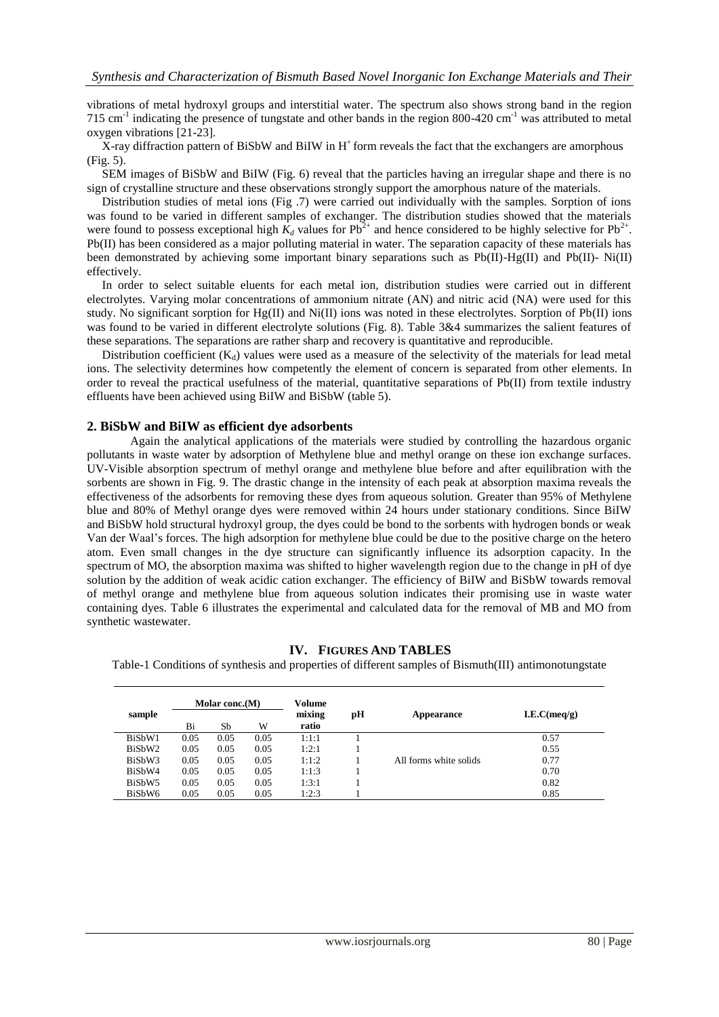vibrations of metal hydroxyl groups and interstitial water. The spectrum also shows strong band in the region 715 cm<sup>-1</sup> indicating the presence of tungstate and other bands in the region 800-420 cm<sup>-1</sup> was attributed to metal oxygen vibrations [21-23].

X-ray diffraction pattern of BiSbW and BiIW in  $H^+$  form reveals the fact that the exchangers are amorphous (Fig. 5).

 SEM images of BiSbW and BiIW (Fig. 6) reveal that the particles having an irregular shape and there is no sign of crystalline structure and these observations strongly support the amorphous nature of the materials.

 Distribution studies of metal ions (Fig .7) were carried out individually with the samples. Sorption of ions was found to be varied in different samples of exchanger. The distribution studies showed that the materials were found to possess exceptional high  $K_d$  values for  $Pb^{2+}$  and hence considered to be highly selective for  $Pb^{2+}$ . Pb(II) has been considered as a major polluting material in water. The separation capacity of these materials has been demonstrated by achieving some important binary separations such as Pb(II)-Hg(II) and Pb(II)- Ni(II) effectively.

 In order to select suitable eluents for each metal ion, distribution studies were carried out in different electrolytes. Varying molar concentrations of ammonium nitrate (AN) and nitric acid (NA) were used for this study. No significant sorption for Hg(II) and Ni(II) ions was noted in these electrolytes. Sorption of Pb(II) ions was found to be varied in different electrolyte solutions (Fig. 8). Table 3&4 summarizes the salient features of these separations. The separations are rather sharp and recovery is quantitative and reproducible.

Distribution coefficient  $(K_d)$  values were used as a measure of the selectivity of the materials for lead metal ions. The selectivity determines how competently the element of concern is separated from other elements. In order to reveal the practical usefulness of the material, quantitative separations of Pb(II) from textile industry effluents have been achieved using BiIW and BiSbW (table 5).

#### **2. BiSbW and BiIW as efficient dye adsorbents**

Again the analytical applications of the materials were studied by controlling the hazardous organic pollutants in waste water by adsorption of Methylene blue and methyl orange on these ion exchange surfaces. UV-Visible absorption spectrum of methyl orange and methylene blue before and after equilibration with the sorbents are shown in Fig. 9. The drastic change in the intensity of each peak at absorption maxima reveals the effectiveness of the adsorbents for removing these dyes from aqueous solution. Greater than 95% of Methylene blue and 80% of Methyl orange dyes were removed within 24 hours under stationary conditions. Since BiIW and BiSbW hold structural hydroxyl group, the dyes could be bond to the sorbents with hydrogen bonds or weak Van der Waal's forces. The high adsorption for methylene blue could be due to the positive charge on the hetero atom. Even small changes in the dye structure can significantly influence its adsorption capacity. In the spectrum of MO, the absorption maxima was shifted to higher wavelength region due to the change in pH of dye solution by the addition of weak acidic cation exchanger. The efficiency of BiIW and BiSbW towards removal of methyl orange and methylene blue from aqueous solution indicates their promising use in waste water containing dyes. Table 6 illustrates the experimental and calculated data for the removal of MB and MO from synthetic wastewater.

#### **IV. FIGURES AND TABLES**

Table-1 Conditions of synthesis and properties of different samples of Bismuth(III) antimonotungstate

|                    |      | Molar conc.(M) |      | Volume          |    |                        |              |
|--------------------|------|----------------|------|-----------------|----|------------------------|--------------|
| sample             | Bi   | Sb             | W    | mixing<br>ratio | рH | Appearance             | I.E.C(meq/g) |
| BiSbW1             | 0.05 | 0.05           | 0.05 | 1:1:1           |    |                        | 0.57         |
| BiSbW2             | 0.05 | 0.05           | 0.05 | 1:2:1           |    |                        | 0.55         |
| BiSbW3             | 0.05 | 0.05           | 0.05 | 1:1:2           |    | All forms white solids | 0.77         |
| BiSbW4             | 0.05 | 0.05           | 0.05 | 1:1:3           |    |                        | 0.70         |
| BiSbW <sub>5</sub> | 0.05 | 0.05           | 0.05 | 1:3:1           |    |                        | 0.82         |
| BiSbW6             | 0.05 | 0.05           | 0.05 | 1:2:3           |    |                        | 0.85         |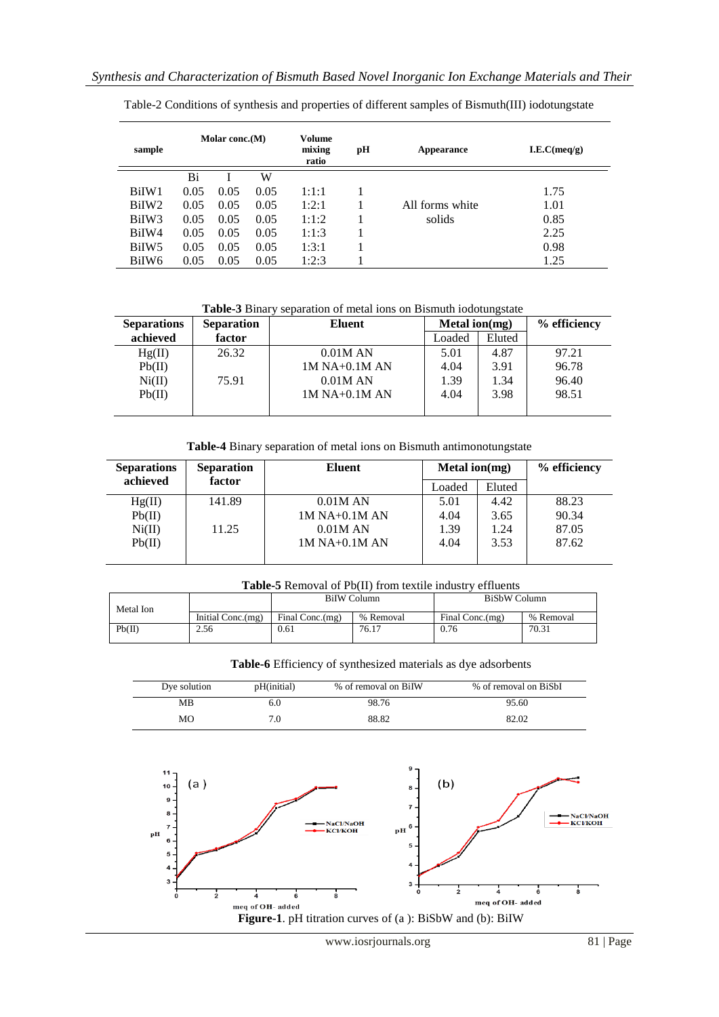| sample            | Molar conc.(M) |      |      |       | pН | Appearance      | I.E.C(meq/g) |
|-------------------|----------------|------|------|-------|----|-----------------|--------------|
|                   | Bi             |      | W    |       |    |                 |              |
| BiIW1             | 0.05           | 0.05 | 0.05 | 1:1:1 |    |                 | 1.75         |
| BiIW <sub>2</sub> | 0.05           | 0.05 | 0.05 | 1:2:1 |    | All forms white | 1.01         |
| BiIW <sub>3</sub> | 0.05           | 0.05 | 0.05 | 1:1:2 |    | solids          | 0.85         |
| BiIW4             | 0.05           | 0.05 | 0.05 | 1:1:3 |    |                 | 2.25         |
| BiIW <sub>5</sub> | 0.05           | 0.05 | 0.05 | 1:3:1 |    |                 | 0.98         |
| BiIW <sub>6</sub> | 0.05           | 0.05 | 0.05 | 1:2:3 |    |                 | 1.25         |

Table-2 Conditions of synthesis and properties of different samples of Bismuth(III) iodotungstate

**Table-3** Binary separation of metal ions on Bismuth iodotungstate

| <b>Separations</b> | <b>Separation</b> | Eluent          | Metal ion $(mg)$ |        | % efficiency |
|--------------------|-------------------|-----------------|------------------|--------|--------------|
| achieved           | factor            |                 | Loaded           | Eluted |              |
| Hg(II)             | 26.32             | 0.01M AN        | 5.01             | 4.87   | 97.21        |
| Pb(II)             |                   | $1M$ NA+0.1M AN | 4.04             | 3.91   | 96.78        |
| Ni(II)             | 75.91             | 0.01M AN        | 1.39             | 1.34   | 96.40        |
| Pb(II)             |                   | $1M$ NA+0.1M AN | 4.04             | 3.98   | 98.51        |
|                    |                   |                 |                  |        |              |

**Table-4** Binary separation of metal ions on Bismuth antimonotungstate

| <b>Separations</b> | <b>Separation</b> | Eluent          | Metal ion $(mg)$ |        | % efficiency |
|--------------------|-------------------|-----------------|------------------|--------|--------------|
| achieved           | factor            |                 | Loaded           | Eluted |              |
| Hg(II)             | 141.89            | 0.01M AN        | 5.01             | 4.42   | 88.23        |
| Pb(II)             |                   | $1M$ NA+0.1M AN | 4.04             | 3.65   | 90.34        |
| Ni(II)             | 11.25             | 0.01M AN        | 1.39             | 1.24   | 87.05        |
| Pb(II)             |                   | $1M$ NA+0.1M AN | 4.04             | 3.53   | 87.62        |
|                    |                   |                 |                  |        |              |

#### **Table-5** Removal of Pb(II) from textile industry effluents

| Metal Ion |                   | <b>BiIW</b> Column |           | <b>BiSbW Column</b> |           |
|-----------|-------------------|--------------------|-----------|---------------------|-----------|
|           | Initial Conc.(mg) | Final Conc.(mg)    | % Removal | Final Conc.(mg)     | % Removal |
| Pb(II)    | 2.56              | 0.61               | 76.17     | 0.76                | 70.31     |

**Table-6** Efficiency of synthesized materials as dye adsorbents

| Dye solution | pH(initial) | % of removal on BiIW | % of removal on BiSbI |
|--------------|-------------|----------------------|-----------------------|
| МB           | 6.0         | 98.76                | 95.60                 |
| MO           |             | 88.82                | 82.02                 |

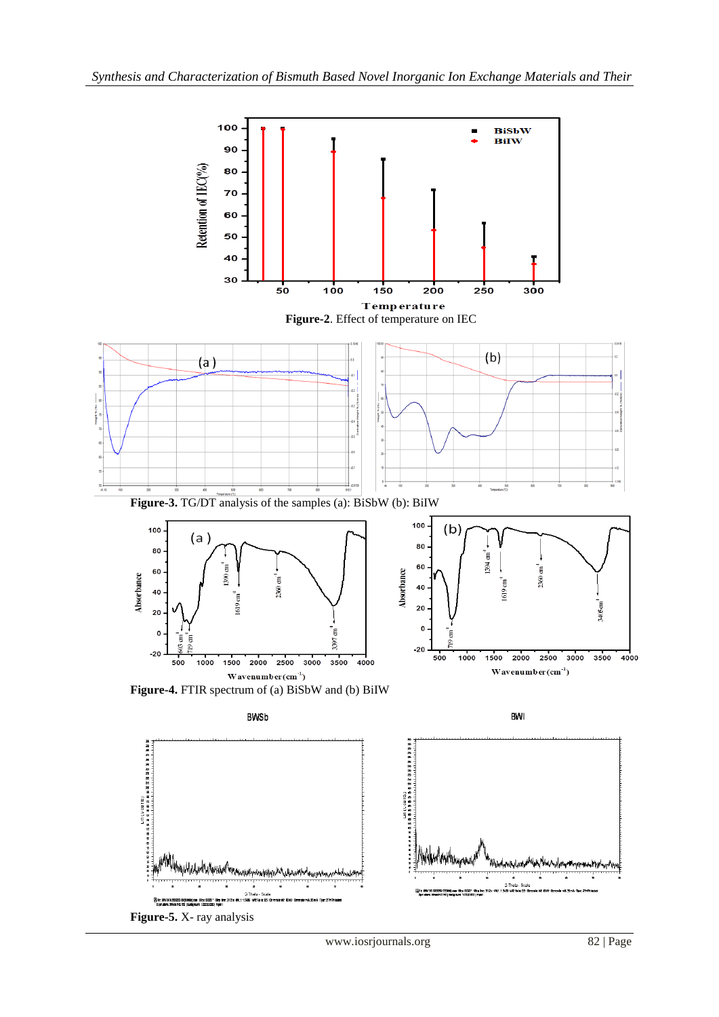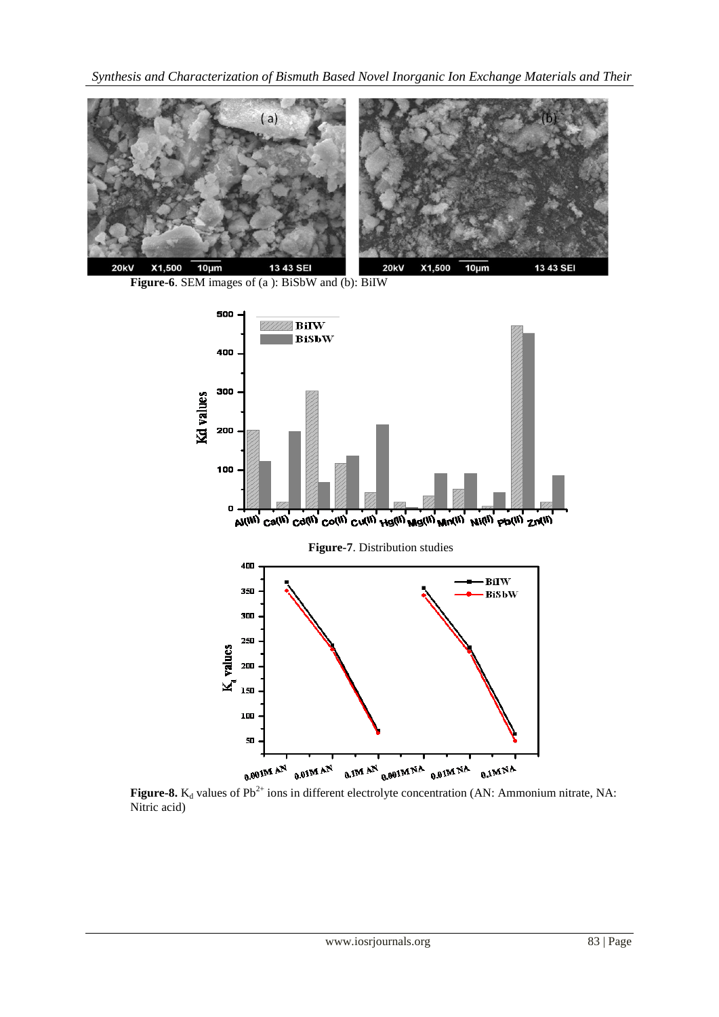*Synthesis and Characterization of Bismuth Based Novel Inorganic Ion Exchange Materials and Their* 







**Figure-8.** K<sub>d</sub> values of Pb<sup>2+</sup> ions in different electrolyte concentration (AN: Ammonium nitrate, NA: Nitric acid)